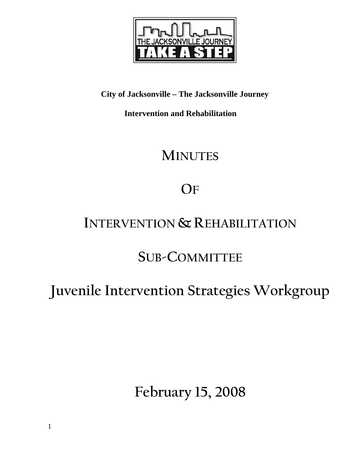

### **City of Jacksonville – The Jacksonville Journey**

 **Intervention and Rehabilitation** 

## **MINUTES**

# **OF**

### **INTERVENTION & REHABILITATION**

### **SUB-COMMITTEE**

# **Juvenile Intervention Strategies Workgroup**

**February 15, 2008**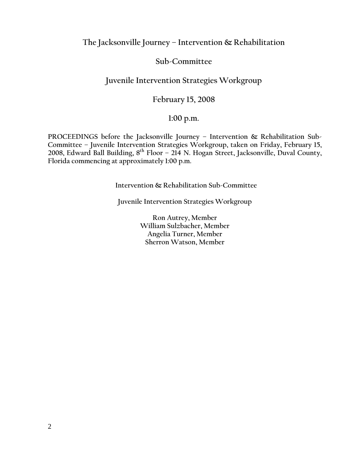**The Jacksonville Journey – Intervention & Rehabilitation** 

#### **Sub-Committee**

#### **Juvenile Intervention Strategies Workgroup**

#### **February 15, 2008**

#### **1:00 p.m.**

PROCEEDINGS before the Jacksonville Journey - Intervention & Rehabilitation Sub-**Committee – Juvenile Intervention Strategies Workgroup, taken on Friday, February 15, 2008, Edward Ball Building, 8th Floor – 214 N. Hogan Street, Jacksonville, Duval County, Florida commencing at approximately 1:00 p.m.** 

**Intervention & Rehabilitation Sub-Committee** 

**Juvenile Intervention Strategies Workgroup** 

**Ron Autrey, Member William Sulzbacher, Member Angelia Turner, Member Sherron Watson, Member**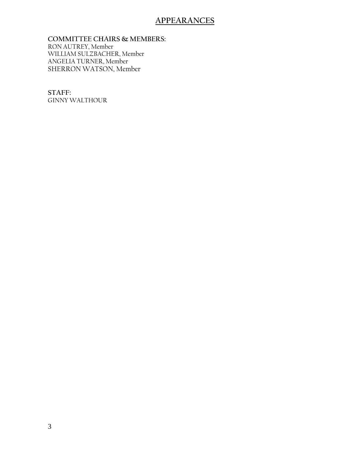#### **APPEARANCES**

**COMMITTEE CHAIRS & MEMBERS:** RON AUTREY, Member WILLIAM SULZBACHER, Member ANGELIA TURNER, Member SHERRON WATSON, Member

**STAFF:**  GINNY WALTHOUR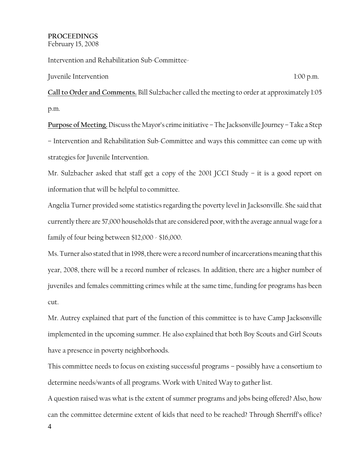#### **PROCEEDINGS** February 15, 2008

Intervention and Rehabilitation Sub-Committee-

Juvenile Intervention 1:00 p.m.

**Call to Order and Comments.** Bill Sulzbacher called the meeting to order at approximately 1:05 p.m.

**Purpose of Meeting.** Discuss the Mayor's crime initiative – The Jacksonville Journey – Take a Step – Intervention and Rehabilitation Sub-Committee and ways this committee can come up with strategies for Juvenile Intervention.

Mr. Sulzbacher asked that staff get a copy of the 2001 JCCI Study – it is a good report on information that will be helpful to committee.

Angelia Turner provided some statistics regarding the poverty level in Jacksonville. She said that currently there are 57,000 households that are considered poor, with the average annual wage for a family of four being between \$12,000 - \$16,000.

Ms. Turner also stated that in 1998, there were a record number of incarcerations meaning that this year, 2008, there will be a record number of releases. In addition, there are a higher number of juveniles and females committing crimes while at the same time, funding for programs has been cut.

Mr. Autrey explained that part of the function of this committee is to have Camp Jacksonville implemented in the upcoming summer. He also explained that both Boy Scouts and Girl Scouts have a presence in poverty neighborhoods.

This committee needs to focus on existing successful programs – possibly have a consortium to determine needs/wants of all programs. Work with United Way to gather list.

A question raised was what is the extent of summer programs and jobs being offered? Also, how can the committee determine extent of kids that need to be reached? Through Sherriff's office?